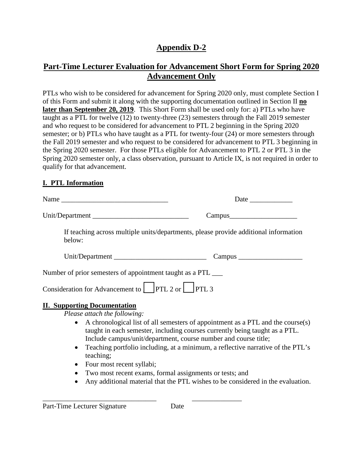# **Appendix D-2**

# **Part-Time Lecturer Evaluation for Advancement Short Form for Spring 2020 Advancement Only**

PTLs who wish to be considered for advancement for Spring 2020 only, must complete Section I of this Form and submit it along with the supporting documentation outlined in Section II **no later than September 20, 2019**. This Short Form shall be used only for: a) PTLs who have taught as a PTL for twelve (12) to twenty-three (23) semesters through the Fall 2019 semester and who request to be considered for advancement to PTL 2 beginning in the Spring 2020 semester; or b) PTLs who have taught as a PTL for twenty-four (24) or more semesters through the Fall 2019 semester and who request to be considered for advancement to PTL 3 beginning in the Spring 2020 semester. For those PTLs eligible for Advancement to PTL 2 or PTL 3 in the Spring 2020 semester only, a class observation, pursuant to Article IX, is not required in order to qualify for that advancement.

### **I. PTL Information**

|                                                                                   | Date                                                                                                                                                                                                                              |
|-----------------------------------------------------------------------------------|-----------------------------------------------------------------------------------------------------------------------------------------------------------------------------------------------------------------------------------|
|                                                                                   |                                                                                                                                                                                                                                   |
| below:                                                                            | If teaching across multiple units/departments, please provide additional information                                                                                                                                              |
|                                                                                   |                                                                                                                                                                                                                                   |
| Number of prior semesters of appointment taught as a PTL _____                    |                                                                                                                                                                                                                                   |
| Consideration for Advancement to $\left  \right $ PTL 2 or $\left  \right $ PTL 3 |                                                                                                                                                                                                                                   |
| <b>II. Supporting Documentation</b><br>Please attach the following:               |                                                                                                                                                                                                                                   |
| $\bullet$                                                                         | A chronological list of all semesters of appointment as a PTL and the course(s)<br>taught in each semester, including courses currently being taught as a PTL.<br>Include campus/unit/department, course number and course title; |
| $\bullet$<br>teaching;                                                            | Teaching portfolio including, at a minimum, a reflective narrative of the PTL's                                                                                                                                                   |
| Four most recent syllabi;<br>$\bullet$                                            |                                                                                                                                                                                                                                   |
| Two most recent exams, formal assignments or tests; and                           |                                                                                                                                                                                                                                   |

• Any additional material that the PTL wishes to be considered in the evaluation.

\_\_\_\_\_\_\_\_\_\_\_\_\_\_\_\_\_\_\_\_\_\_\_\_\_\_\_\_\_\_\_\_ \_\_\_\_\_\_\_\_\_\_\_\_\_\_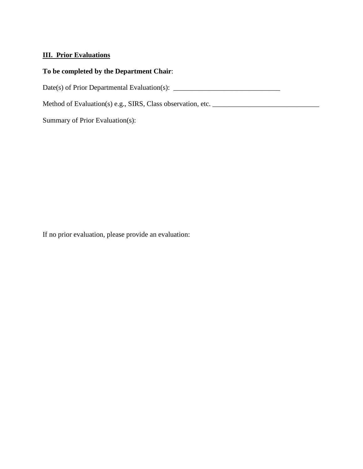### **III. Prior Evaluations**

### **To be completed by the Department Chair**:

Date(s) of Prior Departmental Evaluation(s): \_\_\_\_\_\_\_\_\_\_\_\_\_\_\_\_\_\_\_\_\_\_\_\_\_\_\_\_\_\_

Method of Evaluation(s) e.g., SIRS, Class observation, etc. \_\_\_\_\_\_\_\_\_\_\_\_\_\_\_\_\_\_\_\_\_\_\_\_\_\_\_\_\_\_

Summary of Prior Evaluation(s):

If no prior evaluation, please provide an evaluation: